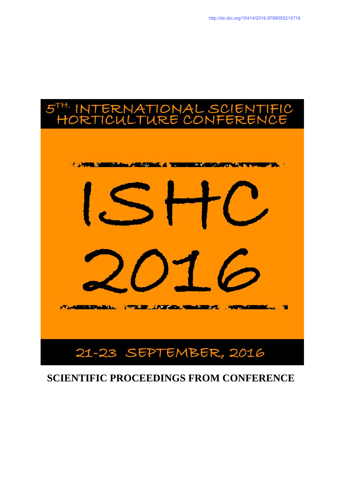

# **SCIENTIFIC PROCEEDINGS FROM CONFERENCE**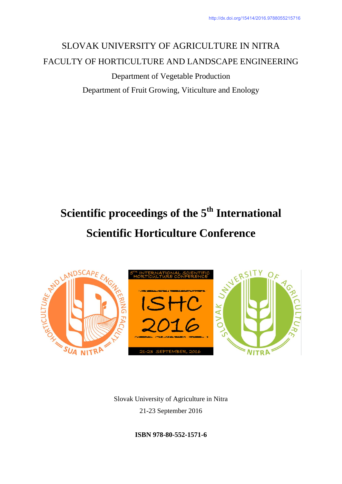# SLOVAK UNIVERSITY OF AGRICULTURE IN NITRA FACULTY OF HORTICULTURE AND LANDSCAPE ENGINEERING

Department of Vegetable Production Department of Fruit Growing, Viticulture and Enology

# **Scientific proceedings of the 5th International Scientific Horticulture Conference**



Slovak University of Agriculture in Nitra 21-23 September 2016

**ISBN 978-80-552-1571-6**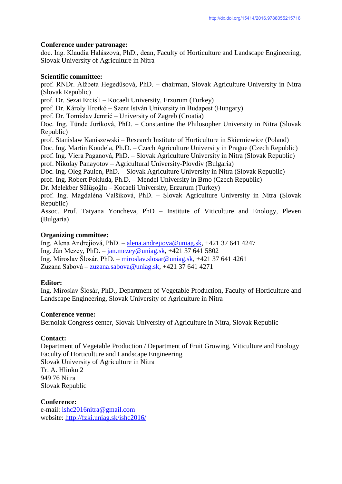### **Conference under patronage:**

doc. Ing. Klaudia Halászová, PhD., dean, Faculty of Horticulture and Landscape Engineering, Slovak University of Agriculture in Nitra

### **Scientific committee:**

prof. RNDr. Alžbeta Hegedűsová, PhD. – chairman, Slovak Agriculture University in Nitra (Slovak Republic) prof. Dr. Sezai Ercisli – Kocaeli University, Erzurum (Turkey) prof. Dr. Károly Hrotkó – Szent István University in Budapest (Hungary) prof. Dr. Tomislav Jemrić – University of Zagreb (Croatia) Doc. Ing. Tünde Juríková, PhD. – Constantine the Philosopher University in Nitra (Slovak Republic) prof. Stanislaw Kaniszewski – Research Institute of Horticulture in Skierniewice (Poland) Doc. Ing. Martin Koudela, Ph.D. – Czech Agriculture University in Prague (Czech Republic) prof. Ing. Viera Paganová, PhD. – Slovak Agriculture University in Nitra (Slovak Republic) prof. Nikolay Panayotov – Agricultural University-Plovdiv (Bulgaria) Doc. Ing. Oleg Paulen, PhD. – Slovak Agriculture University in Nitra (Slovak Republic) prof. Ing. Robert Pokluda, Ph.D. – Mendel University in Brno (Czech Republic) Dr. Melekber Sülüşoğlu – Kocaeli University, Erzurum (Turkey) prof. Ing. Magdaléna Valšíková, PhD. – Slovak Agriculture University in Nitra (Slovak Republic) Assoc. Prof. Tatyana Yoncheva, PhD – Institute of Viticulture and Enology, Pleven (Bulgaria)

# **Organizing committee:**

Ing. Alena Andrejiová, PhD. – [alena.andrejiova@uniag.sk,](mailto:alena.andrejiova@uniag.sk) +421 37 641 4247 Ing. Ján Mezey, PhD. –  $\frac{\text{tan} \text{m} \cdot \text{tan} \cdot \text{tan} \cdot \text{tan} \cdot \text{tan} \cdot \text{tan} \cdot \text{tan} \cdot \text{tan} \cdot \text{tan} \cdot \text{tan} \cdot \text{tan} \cdot \text{tan} \cdot \text{tan} \cdot \text{tan} \cdot \text{tan} \cdot \text{tan} \cdot \text{tan} \cdot \text{tan} \cdot \text{tan} \cdot \text{tan} \cdot \text{tan} \cdot \text{tan} \cdot \text{tan} \cdot \text{tan} \cdot \text{tan} \cdot \text{tan} \cdot \text{tan} \cdot \$ Ing. Miroslav Šlosár, PhD. – [miroslav.slosar@uniag.sk,](mailto:miroslav.slosar@uniag.sk) +421 37 641 4261 Zuzana Sabová – [zuzana.sabova@uniag.sk,](mailto:zuzana.sabova@uniag.sk) +421 37 641 4271

# **Editor:**

Ing. Miroslav Šlosár, PhD., Department of Vegetable Production, Faculty of Horticulture and Landscape Engineering, Slovak University of Agriculture in Nitra

#### **Conference venue:**

Bernolak Congress center, Slovak University of Agriculture in Nitra, Slovak Republic

# **Contact:**

Department of Vegetable Production / Department of Fruit Growing, Viticulture and Enology Faculty of Horticulture and Landscape Engineering Slovak University of Agriculture in Nitra Tr. A. Hlinku 2 949 76 Nitra Slovak Republic

**Conference:**  e-mail: [ishc2016nitra@gmail.com](mailto:ishc2016nitra@gmail.com) website:<http://fzki.uniag.sk/ishc2016/>